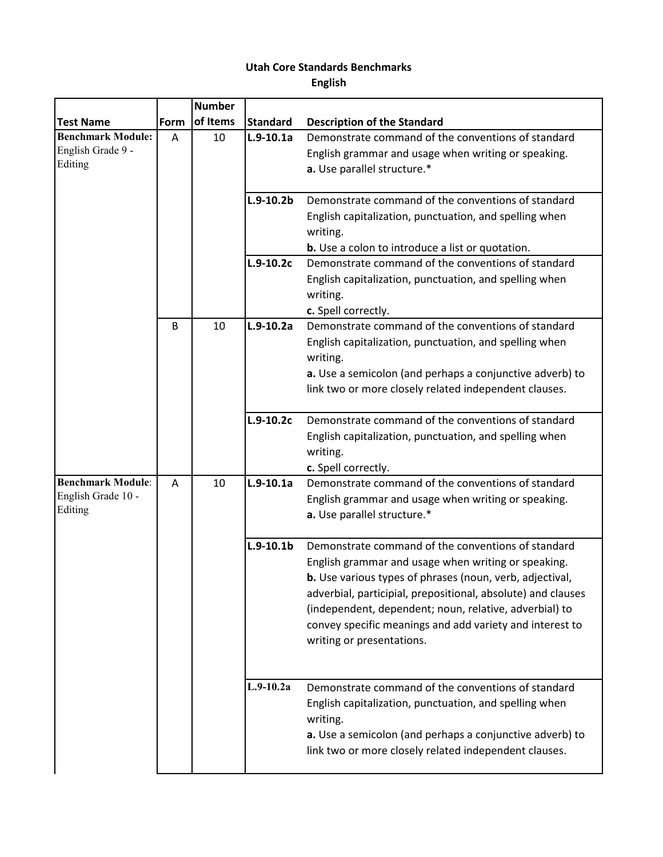## **Utah Core Standards Benchmarks**

**English**

|                          |      | <b>Number</b> |                 |                                                                                    |
|--------------------------|------|---------------|-----------------|------------------------------------------------------------------------------------|
| <b>Test Name</b>         | Form | of Items      | <b>Standard</b> | <b>Description of the Standard</b>                                                 |
| <b>Benchmark Module:</b> | A    | 10            | $L.9-10.1a$     | Demonstrate command of the conventions of standard                                 |
| English Grade 9 -        |      |               |                 | English grammar and usage when writing or speaking.                                |
| Editing                  |      |               |                 | a. Use parallel structure.*                                                        |
|                          |      |               |                 |                                                                                    |
|                          |      |               | $L.9-10.2b$     | Demonstrate command of the conventions of standard                                 |
|                          |      |               |                 | English capitalization, punctuation, and spelling when                             |
|                          |      |               |                 | writing.                                                                           |
|                          |      |               |                 | <b>b.</b> Use a colon to introduce a list or quotation.                            |
|                          |      |               | $L.9-10.2c$     | Demonstrate command of the conventions of standard                                 |
|                          |      |               |                 | English capitalization, punctuation, and spelling when                             |
|                          |      |               |                 | writing.                                                                           |
|                          |      |               |                 | c. Spell correctly.                                                                |
|                          | B    | 10            | $L.9-10.2a$     | Demonstrate command of the conventions of standard                                 |
|                          |      |               |                 | English capitalization, punctuation, and spelling when                             |
|                          |      |               |                 | writing.                                                                           |
|                          |      |               |                 | a. Use a semicolon (and perhaps a conjunctive adverb) to                           |
|                          |      |               |                 | link two or more closely related independent clauses.                              |
|                          |      |               |                 |                                                                                    |
|                          |      |               | $L.9-10.2c$     | Demonstrate command of the conventions of standard                                 |
|                          |      |               |                 | English capitalization, punctuation, and spelling when                             |
|                          |      |               |                 | writing.                                                                           |
| <b>Benchmark Module:</b> | A    | 10            | $L.9-10.1a$     | c. Spell correctly.<br>Demonstrate command of the conventions of standard          |
| English Grade 10 -       |      |               |                 |                                                                                    |
| Editing                  |      |               |                 | English grammar and usage when writing or speaking.<br>a. Use parallel structure.* |
|                          |      |               |                 |                                                                                    |
|                          |      |               | $L.9-10.1b$     | Demonstrate command of the conventions of standard                                 |
|                          |      |               |                 | English grammar and usage when writing or speaking.                                |
|                          |      |               |                 | b. Use various types of phrases (noun, verb, adjectival,                           |
|                          |      |               |                 | adverbial, participial, prepositional, absolute) and clauses                       |
|                          |      |               |                 | (independent, dependent; noun, relative, adverbial) to                             |
|                          |      |               |                 | convey specific meanings and add variety and interest to                           |
|                          |      |               |                 | writing or presentations.                                                          |
|                          |      |               |                 |                                                                                    |
|                          |      |               |                 |                                                                                    |
|                          |      |               | $L.9-10.2a$     | Demonstrate command of the conventions of standard                                 |
|                          |      |               |                 | English capitalization, punctuation, and spelling when                             |
|                          |      |               |                 | writing.                                                                           |
|                          |      |               |                 | a. Use a semicolon (and perhaps a conjunctive adverb) to                           |
|                          |      |               |                 | link two or more closely related independent clauses.                              |
|                          |      |               |                 |                                                                                    |